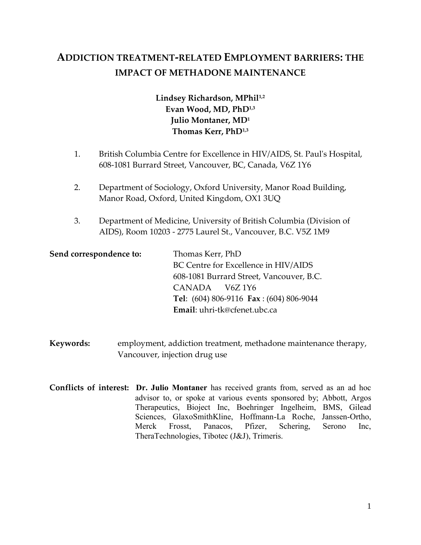# **ADDICTION TREATMENT-RELATED EMPLOYMENT BARRIERS: THE IMPACT OF METHADONE MAINTENANCE**

# **Lindsey Richardson, MPhil1,2 Evan Wood, MD, PhD1,3 Julio Montaner, MD<sup>1</sup> Thomas Kerr, PhD1,3**

- 1. British Columbia Centre for Excellence in HIV/AIDS, St. Paul's Hospital, 608-1081 Burrard Street, Vancouver, BC, Canada, V6Z 1Y6
- 2. Department of Sociology, Oxford University, Manor Road Building, Manor Road, Oxford, United Kingdom, OX1 3UQ
- 3. Department of Medicine, University of British Columbia (Division of AIDS), Room 10203 - 2775 Laurel St., Vancouver, B.C. V5Z 1M9

| Send correspondence to: | Thomas Kerr, PhD                            |
|-------------------------|---------------------------------------------|
|                         | BC Centre for Excellence in HIV/AIDS        |
|                         | 608-1081 Burrard Street, Vancouver, B.C.    |
|                         | CANADA V6Z 1Y6                              |
|                         | Tel: $(604) 806-9116$ Fax: $(604) 806-9044$ |
|                         | Email: uhri-tk@cfenet.ubc.ca                |

- **Keywords:** employment, addiction treatment, methadone maintenance therapy, Vancouver, injection drug use
- **Conflicts of interest: Dr. Julio Montaner** has received grants from, served as an ad hoc advisor to, or spoke at various events sponsored by; Abbott, Argos Therapeutics, Bioject Inc, Boehringer Ingelheim, BMS, Gilead Sciences, GlaxoSmithKline, Hoffmann-La Roche, Janssen-Ortho, Merck Frosst, Panacos, Pfizer, Schering, Serono Inc, TheraTechnologies, Tibotec (J&J), Trimeris.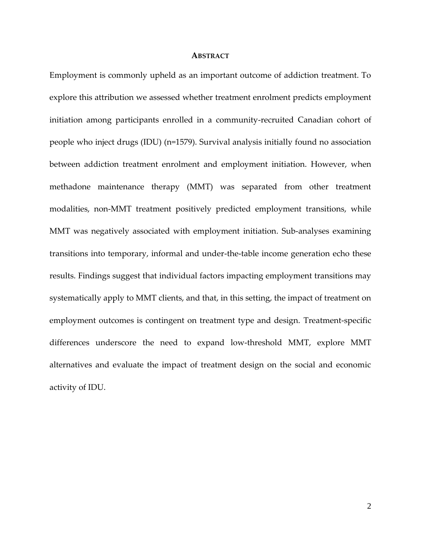#### **ABSTRACT**

Employment is commonly upheld as an important outcome of addiction treatment. To explore this attribution we assessed whether treatment enrolment predicts employment initiation among participants enrolled in a community-recruited Canadian cohort of people who inject drugs (IDU) (n=1579). Survival analysis initially found no association between addiction treatment enrolment and employment initiation. However, when methadone maintenance therapy (MMT) was separated from other treatment modalities, non-MMT treatment positively predicted employment transitions, while MMT was negatively associated with employment initiation. Sub-analyses examining transitions into temporary, informal and under-the-table income generation echo these results. Findings suggest that individual factors impacting employment transitions may systematically apply to MMT clients, and that, in this setting, the impact of treatment on employment outcomes is contingent on treatment type and design. Treatment-specific differences underscore the need to expand low-threshold MMT, explore MMT alternatives and evaluate the impact of treatment design on the social and economic activity of IDU.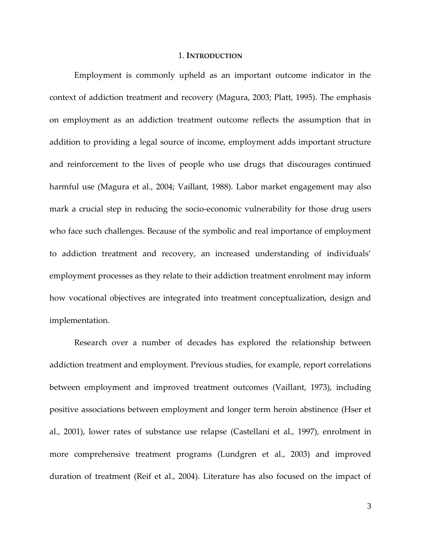#### 1. **INTRODUCTION**

Employment is commonly upheld as an important outcome indicator in the context of addiction treatment and recovery (Magura, 2003; Platt, 1995). The emphasis on employment as an addiction treatment outcome reflects the assumption that in addition to providing a legal source of income, employment adds important structure and reinforcement to the lives of people who use drugs that discourages continued harmful use (Magura et al., 2004; Vaillant, 1988). Labor market engagement may also mark a crucial step in reducing the socio-economic vulnerability for those drug users who face such challenges. Because of the symbolic and real importance of employment to addiction treatment and recovery, an increased understanding of individuals' employment processes as they relate to their addiction treatment enrolment may inform how vocational objectives are integrated into treatment conceptualization, design and implementation.

Research over a number of decades has explored the relationship between addiction treatment and employment. Previous studies, for example, report correlations between employment and improved treatment outcomes (Vaillant, 1973), including positive associations between employment and longer term heroin abstinence (Hser et al., 2001), lower rates of substance use relapse (Castellani et al., 1997), enrolment in more comprehensive treatment programs (Lundgren et al., 2003) and improved duration of treatment (Reif et al., 2004). Literature has also focused on the impact of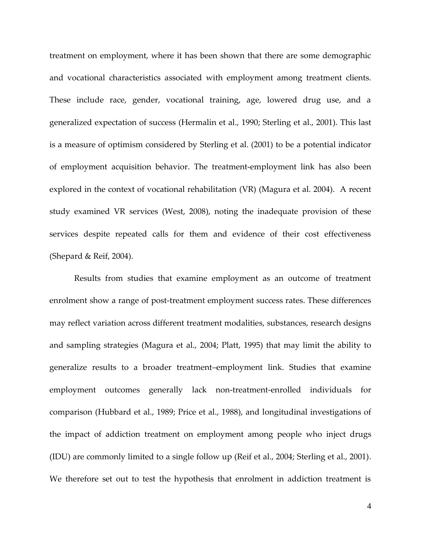treatment on employment, where it has been shown that there are some demographic and vocational characteristics associated with employment among treatment clients. These include race, gender, vocational training, age, lowered drug use, and a generalized expectation of success (Hermalin et al., 1990; Sterling et al., 2001). This last is a measure of optimism considered by Sterling et al. (2001) to be a potential indicator of employment acquisition behavior. The treatment-employment link has also been explored in the context of vocational rehabilitation (VR) (Magura et al. 2004). A recent study examined VR services (West, 2008), noting the inadequate provision of these services despite repeated calls for them and evidence of their cost effectiveness (Shepard & Reif, 2004).

Results from studies that examine employment as an outcome of treatment enrolment show a range of post-treatment employment success rates. These differences may reflect variation across different treatment modalities, substances, research designs and sampling strategies (Magura et al., 2004; Platt, 1995) that may limit the ability to generalize results to a broader treatment–employment link. Studies that examine employment outcomes generally lack non-treatment-enrolled individuals for comparison (Hubbard et al., 1989; Price et al., 1988), and longitudinal investigations of the impact of addiction treatment on employment among people who inject drugs (IDU) are commonly limited to a single follow up (Reif et al., 2004; Sterling et al., 2001). We therefore set out to test the hypothesis that enrolment in addiction treatment is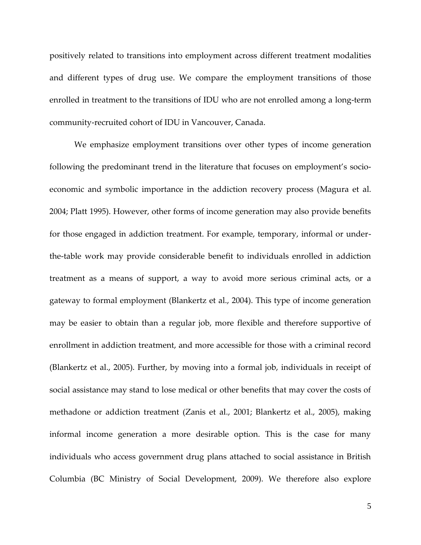positively related to transitions into employment across different treatment modalities and different types of drug use. We compare the employment transitions of those enrolled in treatment to the transitions of IDU who are not enrolled among a long-term community-recruited cohort of IDU in Vancouver, Canada.

We emphasize employment transitions over other types of income generation following the predominant trend in the literature that focuses on employment's socioeconomic and symbolic importance in the addiction recovery process (Magura et al. 2004; Platt 1995). However, other forms of income generation may also provide benefits for those engaged in addiction treatment. For example, temporary, informal or underthe-table work may provide considerable benefit to individuals enrolled in addiction treatment as a means of support, a way to avoid more serious criminal acts, or a gateway to formal employment (Blankertz et al., 2004). This type of income generation may be easier to obtain than a regular job, more flexible and therefore supportive of enrollment in addiction treatment, and more accessible for those with a criminal record (Blankertz et al., 2005). Further, by moving into a formal job, individuals in receipt of social assistance may stand to lose medical or other benefits that may cover the costs of methadone or addiction treatment (Zanis et al., 2001; Blankertz et al., 2005), making informal income generation a more desirable option. This is the case for many individuals who access government drug plans attached to social assistance in British Columbia (BC Ministry of Social Development, 2009). We therefore also explore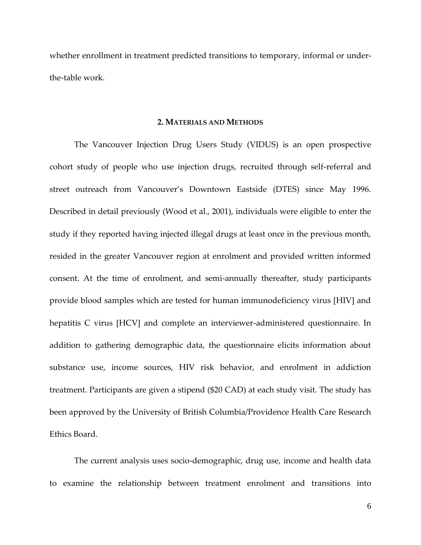whether enrollment in treatment predicted transitions to temporary, informal or underthe-table work.

#### **2. MATERIALS AND METHODS**

The Vancouver Injection Drug Users Study (VIDUS) is an open prospective cohort study of people who use injection drugs, recruited through self-referral and street outreach from Vancouver's Downtown Eastside (DTES) since May 1996. Described in detail previously (Wood et al., 2001), individuals were eligible to enter the study if they reported having injected illegal drugs at least once in the previous month, resided in the greater Vancouver region at enrolment and provided written informed consent. At the time of enrolment, and semi-annually thereafter, study participants provide blood samples which are tested for human immunodeficiency virus [HIV] and hepatitis C virus [HCV] and complete an interviewer-administered questionnaire. In addition to gathering demographic data, the questionnaire elicits information about substance use, income sources, HIV risk behavior, and enrolment in addiction treatment. Participants are given a stipend (\$20 CAD) at each study visit. The study has been approved by the University of British Columbia/Providence Health Care Research Ethics Board.

The current analysis uses socio-demographic, drug use, income and health data to examine the relationship between treatment enrolment and transitions into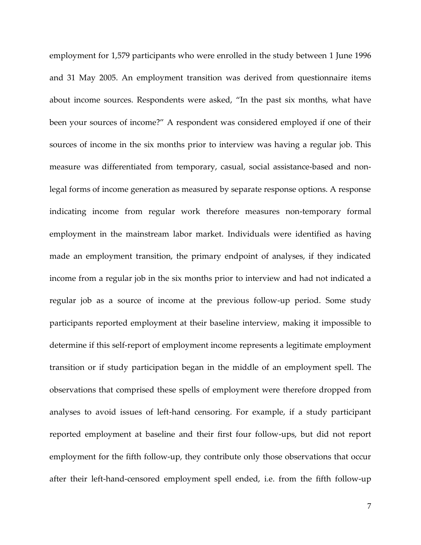employment for 1,579 participants who were enrolled in the study between 1 June 1996 and 31 May 2005. An employment transition was derived from questionnaire items about income sources. Respondents were asked, "In the past six months, what have been your sources of income?" A respondent was considered employed if one of their sources of income in the six months prior to interview was having a regular job. This measure was differentiated from temporary, casual, social assistance-based and nonlegal forms of income generation as measured by separate response options. A response indicating income from regular work therefore measures non-temporary formal employment in the mainstream labor market. Individuals were identified as having made an employment transition, the primary endpoint of analyses, if they indicated income from a regular job in the six months prior to interview and had not indicated a regular job as a source of income at the previous follow-up period. Some study participants reported employment at their baseline interview, making it impossible to determine if this self-report of employment income represents a legitimate employment transition or if study participation began in the middle of an employment spell. The observations that comprised these spells of employment were therefore dropped from analyses to avoid issues of left-hand censoring. For example, if a study participant reported employment at baseline and their first four follow-ups, but did not report employment for the fifth follow-up, they contribute only those observations that occur after their left-hand-censored employment spell ended, i.e. from the fifth follow-up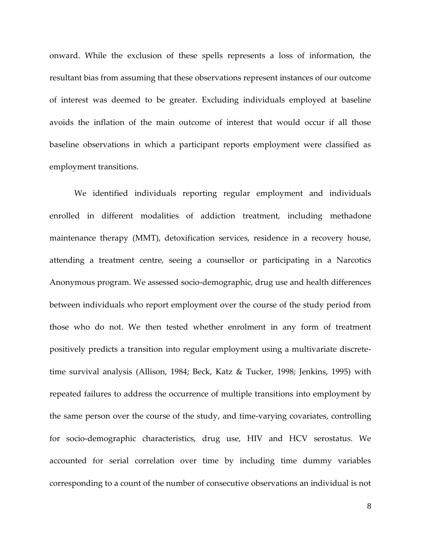onward. While the exclusion of these spells represents a loss of information, the resultant bias from assuming that these observations represent instances of our outcome of interest was deemed to be greater. Excluding individuals employed at baseline avoids the inflation of the main outcome of interest that would occur if all those baseline observations in which a participant reports employment were classified as employment transitions.

We identified individuals reporting regular employment and individuals enrolled in different modalities of addiction treatment, including methadone maintenance therapy (MMT), detoxification services, residence in a recovery house, attending a treatment centre, seeing a counsellor or participating in a Narcotics Anonymous program. We assessed socio-demographic, drug use and health differences between individuals who report employment over the course of the study period from those who do not. We then tested whether enrolment in any form of treatment positively predicts a transition into regular employment using a multivariate discretetime survival analysis (Allison, 1984; Beck, Katz & Tucker, 1998; Jenkins, 1995) with repeated failures to address the occurrence of multiple transitions into employment by the same person over the course of the study, and time-varying covariates, controlling for socio-demographic characteristics, drug use, HIV and HCV serostatus. We accounted for serial correlation over time by including time dummy variables corresponding to a count of the number of consecutive observations an individual is not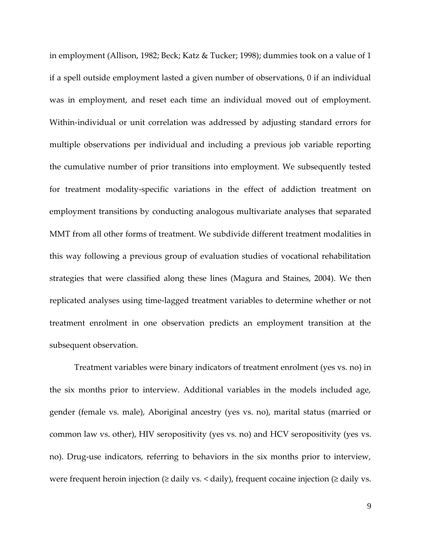in employment (Allison, 1982; Beck; Katz & Tucker; 1998); dummies took on a value of 1 if a spell outside employment lasted a given number of observations, 0 if an individual was in employment, and reset each time an individual moved out of employment. Within-individual or unit correlation was addressed by adjusting standard errors for multiple observations per individual and including a previous job variable reporting the cumulative number of prior transitions into employment. We subsequently tested for treatment modality-specific variations in the effect of addiction treatment on employment transitions by conducting analogous multivariate analyses that separated MMT from all other forms of treatment. We subdivide different treatment modalities in this way following a previous group of evaluation studies of vocational rehabilitation strategies that were classified along these lines (Magura and Staines, 2004). We then replicated analyses using time-lagged treatment variables to determine whether or not treatment enrolment in one observation predicts an employment transition at the subsequent observation.

Treatment variables were binary indicators of treatment enrolment (yes vs. no) in the six months prior to interview. Additional variables in the models included age, gender (female vs. male), Aboriginal ancestry (yes vs. no), marital status (married or common law vs. other), HIV seropositivity (yes vs. no) and HCV seropositivity (yes vs. no). Drug-use indicators, referring to behaviors in the six months prior to interview, were frequent heroin injection ( $\geq$  daily vs.  $\lt$  daily), frequent cocaine injection ( $\geq$  daily vs.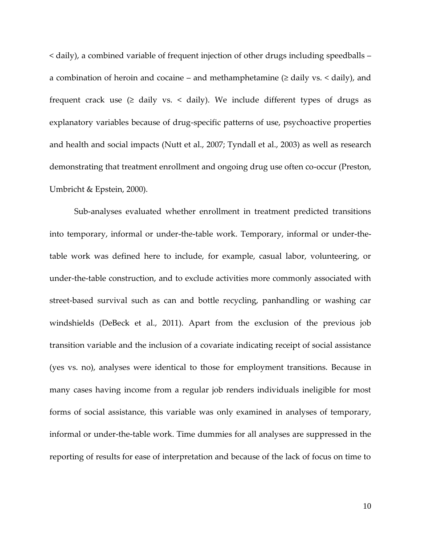< daily), a combined variable of frequent injection of other drugs including speedballs – a combination of heroin and cocaine – and methamphetamine  $(\geq$  daily vs. < daily), and frequent crack use  $($  aily vs. < daily). We include different types of drugs as explanatory variables because of drug-specific patterns of use, psychoactive properties and health and social impacts (Nutt et al., 2007; Tyndall et al., 2003) as well as research demonstrating that treatment enrollment and ongoing drug use often co-occur (Preston, Umbricht & Epstein, 2000).

Sub-analyses evaluated whether enrollment in treatment predicted transitions into temporary, informal or under-the-table work. Temporary, informal or under-thetable work was defined here to include, for example, casual labor, volunteering, or under-the-table construction, and to exclude activities more commonly associated with street-based survival such as can and bottle recycling, panhandling or washing car windshields (DeBeck et al., 2011). Apart from the exclusion of the previous job transition variable and the inclusion of a covariate indicating receipt of social assistance (yes vs. no), analyses were identical to those for employment transitions. Because in many cases having income from a regular job renders individuals ineligible for most forms of social assistance, this variable was only examined in analyses of temporary, informal or under-the-table work. Time dummies for all analyses are suppressed in the reporting of results for ease of interpretation and because of the lack of focus on time to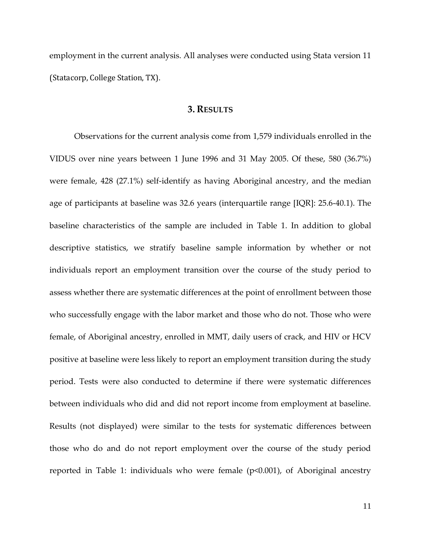employment in the current analysis. All analyses were conducted using Stata version 11 (Statacorp, College Station, TX).

## **3. RESULTS**

Observations for the current analysis come from 1,579 individuals enrolled in the VIDUS over nine years between 1 June 1996 and 31 May 2005. Of these, 580 (36.7%) were female, 428 (27.1%) self-identify as having Aboriginal ancestry, and the median age of participants at baseline was 32.6 years (interquartile range [IQR]: 25.6-40.1). The baseline characteristics of the sample are included in Table 1. In addition to global descriptive statistics, we stratify baseline sample information by whether or not individuals report an employment transition over the course of the study period to assess whether there are systematic differences at the point of enrollment between those who successfully engage with the labor market and those who do not. Those who were female, of Aboriginal ancestry, enrolled in MMT, daily users of crack, and HIV or HCV positive at baseline were less likely to report an employment transition during the study period. Tests were also conducted to determine if there were systematic differences between individuals who did and did not report income from employment at baseline. Results (not displayed) were similar to the tests for systematic differences between those who do and do not report employment over the course of the study period reported in Table 1: individuals who were female (p<0.001), of Aboriginal ancestry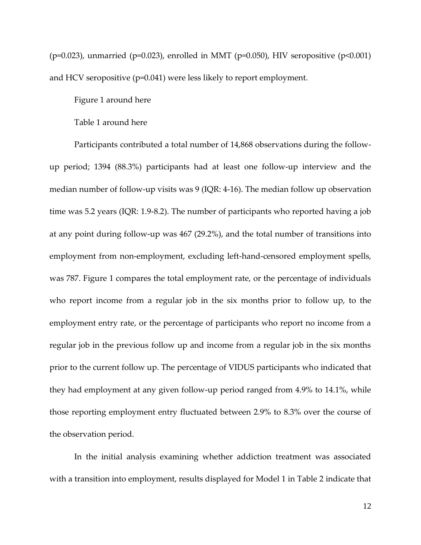$(p=0.023)$ , unmarried  $(p=0.023)$ , enrolled in MMT ( $p=0.050$ ), HIV seropositive ( $p<0.001$ ) and HCV seropositive  $(p=0.041)$  were less likely to report employment.

#### Figure 1 around here

#### Table 1 around here

Participants contributed a total number of 14,868 observations during the followup period; 1394 (88.3%) participants had at least one follow-up interview and the median number of follow-up visits was 9 (IQR: 4-16). The median follow up observation time was 5.2 years (IQR: 1.9-8.2). The number of participants who reported having a job at any point during follow-up was 467 (29.2%), and the total number of transitions into employment from non-employment, excluding left-hand-censored employment spells, was 787. Figure 1 compares the total employment rate, or the percentage of individuals who report income from a regular job in the six months prior to follow up, to the employment entry rate, or the percentage of participants who report no income from a regular job in the previous follow up and income from a regular job in the six months prior to the current follow up. The percentage of VIDUS participants who indicated that they had employment at any given follow-up period ranged from 4.9% to 14.1%, while those reporting employment entry fluctuated between 2.9% to 8.3% over the course of the observation period.

In the initial analysis examining whether addiction treatment was associated with a transition into employment, results displayed for Model 1 in Table 2 indicate that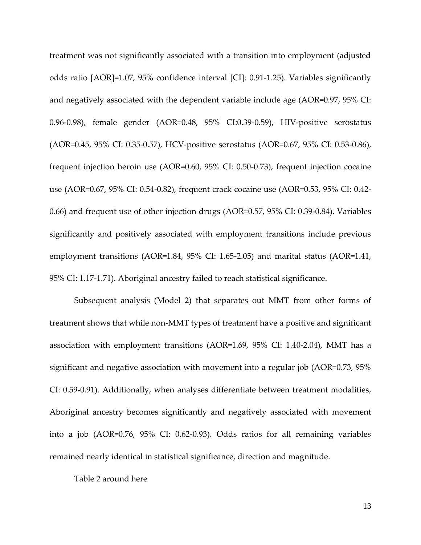treatment was not significantly associated with a transition into employment (adjusted odds ratio [AOR]=1.07, 95% confidence interval [CI]: 0.91-1.25). Variables significantly and negatively associated with the dependent variable include age (AOR=0.97, 95% CI: 0.96-0.98), female gender (AOR=0.48, 95% CI:0.39-0.59), HIV-positive serostatus (AOR=0.45, 95% CI: 0.35-0.57), HCV-positive serostatus (AOR=0.67, 95% CI: 0.53-0.86), frequent injection heroin use (AOR=0.60, 95% CI: 0.50-0.73), frequent injection cocaine use (AOR=0.67, 95% CI: 0.54-0.82), frequent crack cocaine use (AOR=0.53, 95% CI: 0.42- 0.66) and frequent use of other injection drugs (AOR=0.57, 95% CI: 0.39-0.84). Variables significantly and positively associated with employment transitions include previous employment transitions (AOR=1.84, 95% CI: 1.65-2.05) and marital status (AOR=1.41, 95% CI: 1.17-1.71). Aboriginal ancestry failed to reach statistical significance.

Subsequent analysis (Model 2) that separates out MMT from other forms of treatment shows that while non-MMT types of treatment have a positive and significant association with employment transitions (AOR=1.69, 95% CI: 1.40-2.04), MMT has a significant and negative association with movement into a regular job (AOR=0.73, 95% CI: 0.59-0.91). Additionally, when analyses differentiate between treatment modalities, Aboriginal ancestry becomes significantly and negatively associated with movement into a job (AOR=0.76, 95% CI: 0.62-0.93). Odds ratios for all remaining variables remained nearly identical in statistical significance, direction and magnitude.

Table 2 around here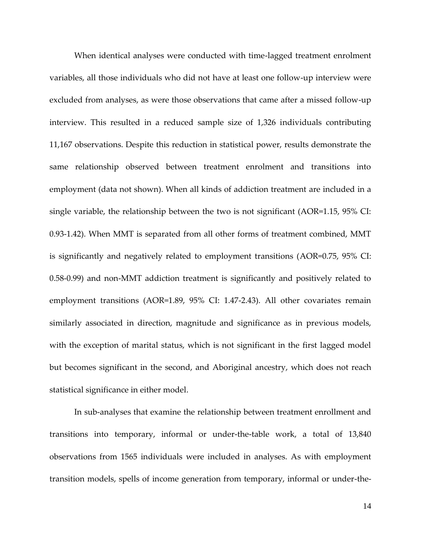When identical analyses were conducted with time-lagged treatment enrolment variables, all those individuals who did not have at least one follow-up interview were excluded from analyses, as were those observations that came after a missed follow-up interview. This resulted in a reduced sample size of 1,326 individuals contributing 11,167 observations. Despite this reduction in statistical power, results demonstrate the same relationship observed between treatment enrolment and transitions into employment (data not shown). When all kinds of addiction treatment are included in a single variable, the relationship between the two is not significant (AOR=1.15, 95% CI: 0.93-1.42). When MMT is separated from all other forms of treatment combined, MMT is significantly and negatively related to employment transitions (AOR=0.75, 95% CI: 0.58-0.99) and non-MMT addiction treatment is significantly and positively related to employment transitions (AOR=1.89, 95% CI: 1.47-2.43). All other covariates remain similarly associated in direction, magnitude and significance as in previous models, with the exception of marital status, which is not significant in the first lagged model but becomes significant in the second, and Aboriginal ancestry, which does not reach statistical significance in either model.

In sub-analyses that examine the relationship between treatment enrollment and transitions into temporary, informal or under-the-table work, a total of 13,840 observations from 1565 individuals were included in analyses. As with employment transition models, spells of income generation from temporary, informal or under-the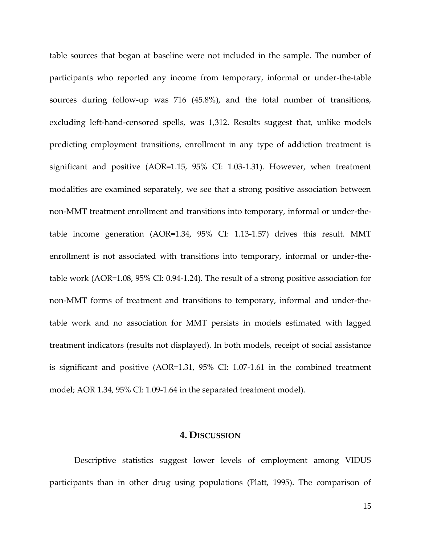table sources that began at baseline were not included in the sample. The number of participants who reported any income from temporary, informal or under-the-table sources during follow-up was 716 (45.8%), and the total number of transitions, excluding left-hand-censored spells, was 1,312. Results suggest that, unlike models predicting employment transitions, enrollment in any type of addiction treatment is significant and positive (AOR=1.15, 95% CI: 1.03-1.31). However, when treatment modalities are examined separately, we see that a strong positive association between non-MMT treatment enrollment and transitions into temporary, informal or under-thetable income generation (AOR=1.34, 95% CI: 1.13-1.57) drives this result. MMT enrollment is not associated with transitions into temporary, informal or under-thetable work (AOR=1.08, 95% CI: 0.94-1.24). The result of a strong positive association for non-MMT forms of treatment and transitions to temporary, informal and under-thetable work and no association for MMT persists in models estimated with lagged treatment indicators (results not displayed). In both models, receipt of social assistance is significant and positive (AOR=1.31, 95% CI: 1.07-1.61 in the combined treatment model; AOR 1.34, 95% CI: 1.09-1.64 in the separated treatment model).

## **4. DISCUSSION**

Descriptive statistics suggest lower levels of employment among VIDUS participants than in other drug using populations (Platt, 1995). The comparison of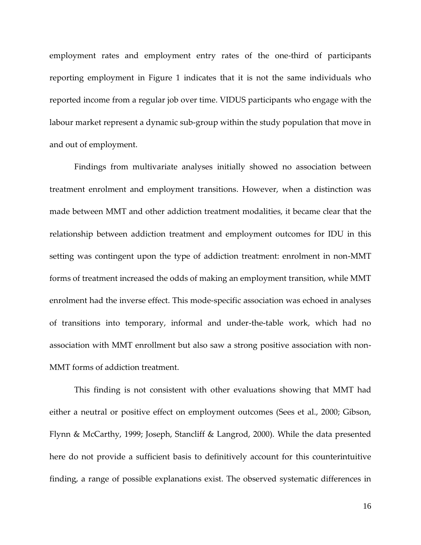employment rates and employment entry rates of the one-third of participants reporting employment in Figure 1 indicates that it is not the same individuals who reported income from a regular job over time. VIDUS participants who engage with the labour market represent a dynamic sub-group within the study population that move in and out of employment.

Findings from multivariate analyses initially showed no association between treatment enrolment and employment transitions. However, when a distinction was made between MMT and other addiction treatment modalities, it became clear that the relationship between addiction treatment and employment outcomes for IDU in this setting was contingent upon the type of addiction treatment: enrolment in non-MMT forms of treatment increased the odds of making an employment transition, while MMT enrolment had the inverse effect. This mode-specific association was echoed in analyses of transitions into temporary, informal and under-the-table work, which had no association with MMT enrollment but also saw a strong positive association with non-MMT forms of addiction treatment.

This finding is not consistent with other evaluations showing that MMT had either a neutral or positive effect on employment outcomes (Sees et al., 2000; Gibson, Flynn & McCarthy, 1999; Joseph, Stancliff & Langrod, 2000). While the data presented here do not provide a sufficient basis to definitively account for this counterintuitive finding, a range of possible explanations exist. The observed systematic differences in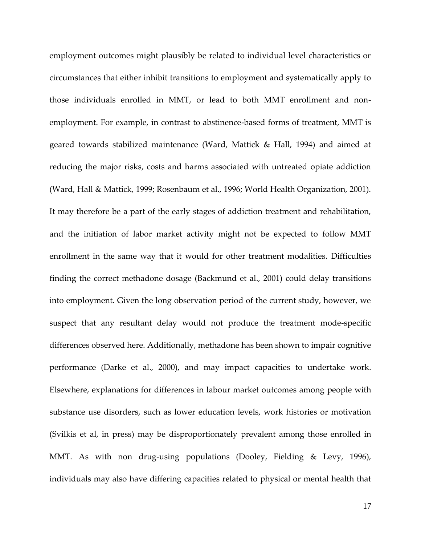employment outcomes might plausibly be related to individual level characteristics or circumstances that either inhibit transitions to employment and systematically apply to those individuals enrolled in MMT, or lead to both MMT enrollment and nonemployment. For example, in contrast to abstinence-based forms of treatment, MMT is geared towards stabilized maintenance (Ward, Mattick & Hall, 1994) and aimed at reducing the major risks, costs and harms associated with untreated opiate addiction (Ward, Hall & Mattick, 1999; Rosenbaum et al., 1996; World Health Organization, 2001). It may therefore be a part of the early stages of addiction treatment and rehabilitation, and the initiation of labor market activity might not be expected to follow MMT enrollment in the same way that it would for other treatment modalities. Difficulties finding the correct methadone dosage (Backmund et al., 2001) could delay transitions into employment. Given the long observation period of the current study, however, we suspect that any resultant delay would not produce the treatment mode-specific differences observed here. Additionally, methadone has been shown to impair cognitive performance (Darke et al., 2000), and may impact capacities to undertake work. Elsewhere, explanations for differences in labour market outcomes among people with substance use disorders, such as lower education levels, work histories or motivation (Svilkis et al, in press) may be disproportionately prevalent among those enrolled in MMT. As with non drug-using populations (Dooley, Fielding & Levy, 1996), individuals may also have differing capacities related to physical or mental health that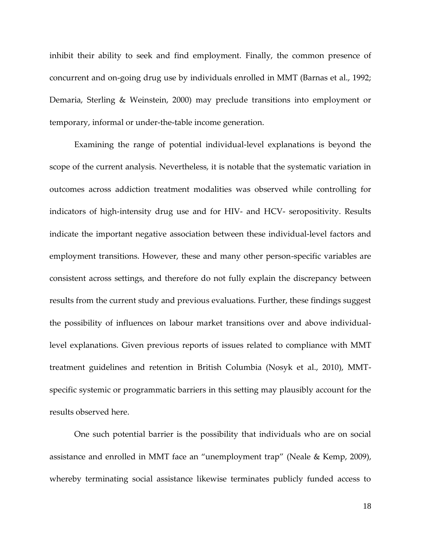inhibit their ability to seek and find employment. Finally, the common presence of concurrent and on-going drug use by individuals enrolled in MMT (Barnas et al., 1992; Demaria, Sterling & Weinstein, 2000) may preclude transitions into employment or temporary, informal or under-the-table income generation.

Examining the range of potential individual-level explanations is beyond the scope of the current analysis. Nevertheless, it is notable that the systematic variation in outcomes across addiction treatment modalities was observed while controlling for indicators of high-intensity drug use and for HIV- and HCV- seropositivity. Results indicate the important negative association between these individual-level factors and employment transitions. However, these and many other person-specific variables are consistent across settings, and therefore do not fully explain the discrepancy between results from the current study and previous evaluations. Further, these findings suggest the possibility of influences on labour market transitions over and above individuallevel explanations. Given previous reports of issues related to compliance with MMT treatment guidelines and retention in British Columbia (Nosyk et al., 2010), MMTspecific systemic or programmatic barriers in this setting may plausibly account for the results observed here.

One such potential barrier is the possibility that individuals who are on social assistance and enrolled in MMT face an "unemployment trap" (Neale & Kemp, 2009), whereby terminating social assistance likewise terminates publicly funded access to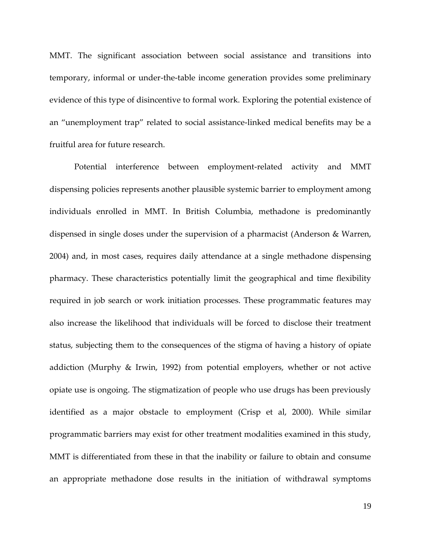MMT. The significant association between social assistance and transitions into temporary, informal or under-the-table income generation provides some preliminary evidence of this type of disincentive to formal work. Exploring the potential existence of an "unemployment trap" related to social assistance-linked medical benefits may be a fruitful area for future research.

Potential interference between employment-related activity and MMT dispensing policies represents another plausible systemic barrier to employment among individuals enrolled in MMT. In British Columbia, methadone is predominantly dispensed in single doses under the supervision of a pharmacist (Anderson & Warren, 2004) and, in most cases, requires daily attendance at a single methadone dispensing pharmacy. These characteristics potentially limit the geographical and time flexibility required in job search or work initiation processes. These programmatic features may also increase the likelihood that individuals will be forced to disclose their treatment status, subjecting them to the consequences of the stigma of having a history of opiate addiction (Murphy & Irwin, 1992) from potential employers, whether or not active opiate use is ongoing. The stigmatization of people who use drugs has been previously identified as a major obstacle to employment (Crisp et al, 2000). While similar programmatic barriers may exist for other treatment modalities examined in this study, MMT is differentiated from these in that the inability or failure to obtain and consume an appropriate methadone dose results in the initiation of withdrawal symptoms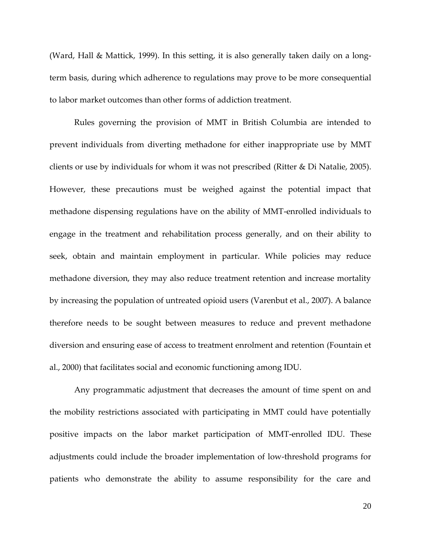(Ward, Hall & Mattick, 1999). In this setting, it is also generally taken daily on a longterm basis, during which adherence to regulations may prove to be more consequential to labor market outcomes than other forms of addiction treatment.

Rules governing the provision of MMT in British Columbia are intended to prevent individuals from diverting methadone for either inappropriate use by MMT clients or use by individuals for whom it was not prescribed (Ritter & Di Natalie, 2005). However, these precautions must be weighed against the potential impact that methadone dispensing regulations have on the ability of MMT-enrolled individuals to engage in the treatment and rehabilitation process generally, and on their ability to seek, obtain and maintain employment in particular. While policies may reduce methadone diversion, they may also reduce treatment retention and increase mortality by increasing the population of untreated opioid users (Varenbut et al., 2007). A balance therefore needs to be sought between measures to reduce and prevent methadone diversion and ensuring ease of access to treatment enrolment and retention (Fountain et al., 2000) that facilitates social and economic functioning among IDU.

Any programmatic adjustment that decreases the amount of time spent on and the mobility restrictions associated with participating in MMT could have potentially positive impacts on the labor market participation of MMT-enrolled IDU. These adjustments could include the broader implementation of low-threshold programs for patients who demonstrate the ability to assume responsibility for the care and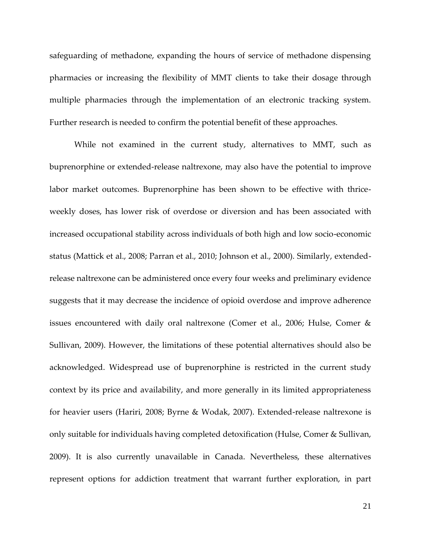safeguarding of methadone, expanding the hours of service of methadone dispensing pharmacies or increasing the flexibility of MMT clients to take their dosage through multiple pharmacies through the implementation of an electronic tracking system. Further research is needed to confirm the potential benefit of these approaches.

While not examined in the current study, alternatives to MMT, such as buprenorphine or extended-release naltrexone, may also have the potential to improve labor market outcomes. Buprenorphine has been shown to be effective with thriceweekly doses, has lower risk of overdose or diversion and has been associated with increased occupational stability across individuals of both high and low socio-economic status (Mattick et al., 2008; Parran et al., 2010; Johnson et al., 2000). Similarly, extendedrelease naltrexone can be administered once every four weeks and preliminary evidence suggests that it may decrease the incidence of opioid overdose and improve adherence issues encountered with daily oral naltrexone (Comer et al., 2006; Hulse, Comer & Sullivan, 2009). However, the limitations of these potential alternatives should also be acknowledged. Widespread use of buprenorphine is restricted in the current study context by its price and availability, and more generally in its limited appropriateness for heavier users (Hariri, 2008; Byrne & Wodak, 2007). Extended-release naltrexone is only suitable for individuals having completed detoxification (Hulse, Comer & Sullivan, 2009). It is also currently unavailable in Canada. Nevertheless, these alternatives represent options for addiction treatment that warrant further exploration, in part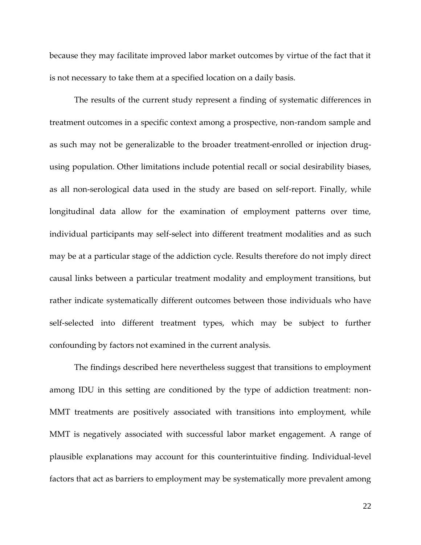because they may facilitate improved labor market outcomes by virtue of the fact that it is not necessary to take them at a specified location on a daily basis.

The results of the current study represent a finding of systematic differences in treatment outcomes in a specific context among a prospective, non-random sample and as such may not be generalizable to the broader treatment-enrolled or injection drugusing population. Other limitations include potential recall or social desirability biases, as all non-serological data used in the study are based on self-report. Finally, while longitudinal data allow for the examination of employment patterns over time, individual participants may self-select into different treatment modalities and as such may be at a particular stage of the addiction cycle. Results therefore do not imply direct causal links between a particular treatment modality and employment transitions, but rather indicate systematically different outcomes between those individuals who have self-selected into different treatment types, which may be subject to further confounding by factors not examined in the current analysis.

The findings described here nevertheless suggest that transitions to employment among IDU in this setting are conditioned by the type of addiction treatment: non-MMT treatments are positively associated with transitions into employment, while MMT is negatively associated with successful labor market engagement. A range of plausible explanations may account for this counterintuitive finding. Individual-level factors that act as barriers to employment may be systematically more prevalent among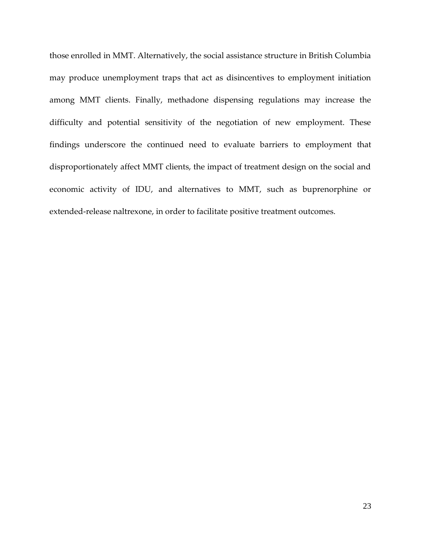those enrolled in MMT. Alternatively, the social assistance structure in British Columbia may produce unemployment traps that act as disincentives to employment initiation among MMT clients. Finally, methadone dispensing regulations may increase the difficulty and potential sensitivity of the negotiation of new employment. These findings underscore the continued need to evaluate barriers to employment that disproportionately affect MMT clients, the impact of treatment design on the social and economic activity of IDU, and alternatives to MMT, such as buprenorphine or extended-release naltrexone, in order to facilitate positive treatment outcomes.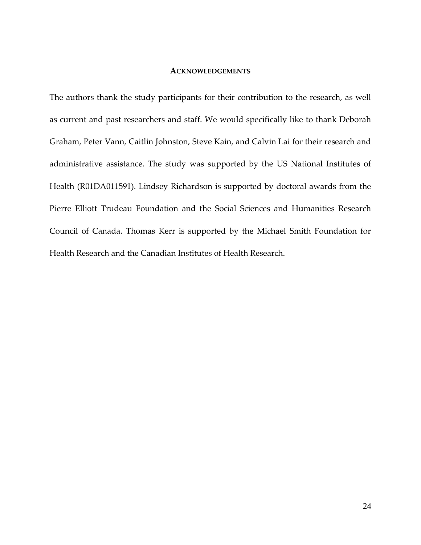#### **ACKNOWLEDGEMENTS**

The authors thank the study participants for their contribution to the research, as well as current and past researchers and staff. We would specifically like to thank Deborah Graham, Peter Vann, Caitlin Johnston, Steve Kain, and Calvin Lai for their research and administrative assistance. The study was supported by the US National Institutes of Health (R01DA011591). Lindsey Richardson is supported by doctoral awards from the Pierre Elliott Trudeau Foundation and the Social Sciences and Humanities Research Council of Canada. Thomas Kerr is supported by the Michael Smith Foundation for Health Research and the Canadian Institutes of Health Research.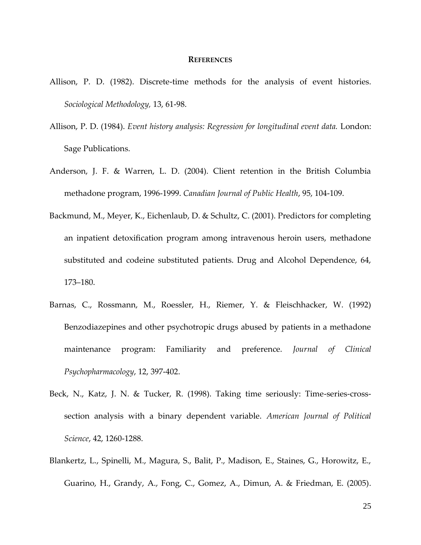#### **REFERENCES**

- Allison, P. D. (1982). Discrete-time methods for the analysis of event histories. *Sociological Methodology,* 13, 61-98.
- Allison, P. D. (1984). *Event history analysis: Regression for longitudinal event data.* London: Sage Publications.
- Anderson, J. F. & Warren, L. D. (2004). Client retention in the British Columbia methadone program, 1996-1999. *Canadian Journal of Public Health*, 95, 104-109.
- Backmund, M., Meyer, K., Eichenlaub, D. & Schultz, C. (2001). Predictors for completing an inpatient detoxification program among intravenous heroin users, methadone substituted and codeine substituted patients. Drug and Alcohol Dependence, 64, 173–180.
- Barnas, C., Rossmann, M., Roessler, H., Riemer, Y. & Fleischhacker, W. (1992) Benzodiazepines and other psychotropic drugs abused by patients in a methadone maintenance program: Familiarity and preference. *Journal of Clinical Psychopharmacology*, 12, 397-402.
- Beck, N., Katz, J. N. & Tucker, R. (1998). Taking time seriously: Time-series-crosssection analysis with a binary dependent variable. *American Journal of Political Science*, 42, 1260-1288.
- Blankertz, L., Spinelli, M., Magura, S., Balit, P., Madison, E., Staines, G., Horowitz, E., Guarino, H., Grandy, A., Fong, C., Gomez, A., Dimun, A. & Friedman, E. (2005).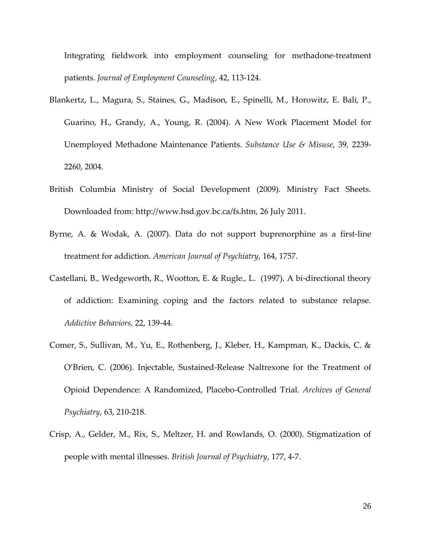Integrating fieldwork into employment counseling for methadone-treatment patients. *Journal of Employment Counseling*, 42, 113-124.

- Blankertz, L., Magura, S., Staines, G., Madison, E., Spinelli, M., Horowitz, E. Bali, P., Guarino, H., Grandy, A., Young, R. (2004). A New Work Placement Model for Unemployed Methadone Maintenance Patients. *Substance Use & Misuse*, 39, 2239- 2260, 2004.
- British Columbia Ministry of Social Development (2009). Ministry Fact Sheets. Downloaded from: http://www.hsd.gov.bc.ca/fs.htm, 26 July 2011.
- Byrne, A. & Wodak, A. (2007). Data do not support buprenorphine as a first-line treatment for addiction. *American Journal of Psychiatry*, 164, 1757.
- Castellani, B., Wedgeworth, R., Wootton, E. & Rugle., L. (1997). A bi-directional theory of addiction: Examining coping and the factors related to substance relapse. *Addictive Behaviors,* 22, 139-44.
- Comer, S., Sullivan, M., Yu, E., Rothenberg, J., Kleber, H., Kampman, K., Dackis, C. & O'Brien, C. (2006). Injectable, Sustained-Release Naltrexone for the Treatment of Opioid Dependence: A Randomized, Placebo-Controlled Trial. *Archives of General Psychiatry*, 63, 210-218.
- Crisp, A., Gelder, M., Rix, S., Meltzer, H. and Rowlands, O. (2000). Stigmatization of people with mental illnesses. *British Journal of Psychiatry*, 177, 4-7.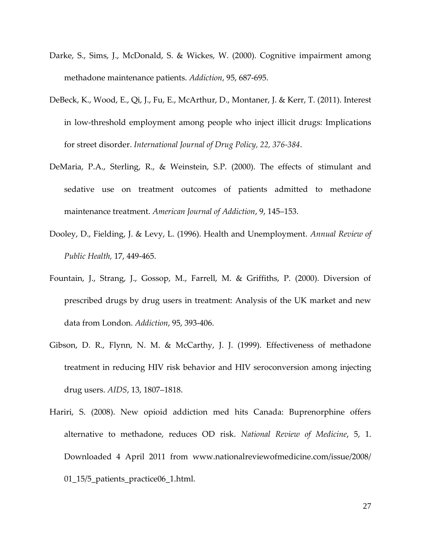- Darke, S., Sims, J., McDonald, S. & Wickes, W. (2000). Cognitive impairment among methadone maintenance patients. *Addiction*, 95, 687-695.
- DeBeck, K., Wood, E., Qi, J., Fu, E., McArthur, D., Montaner, J. & Kerr, T. (2011). Interest in low-threshold employment among people who inject illicit drugs: Implications for street disorder. *International Journal of Drug Policy, 22, 376-384*.
- DeMaria, P.A., Sterling, R., & Weinstein, S.P. (2000). The effects of stimulant and sedative use on treatment outcomes of patients admitted to methadone maintenance treatment. *American Journal of Addiction*, 9, 145–153.
- Dooley, D., Fielding, J. & Levy, L. (1996). Health and Unemployment. *Annual Review of Public Health,* 17, 449-465.
- Fountain, J., Strang, J., Gossop, M., Farrell, M. & Griffiths, P. (2000). Diversion of prescribed drugs by drug users in treatment: Analysis of the UK market and new data from London. *Addiction*, 95, 393-406.
- Gibson, D. R., Flynn, N. M. & McCarthy, J. J. (1999). Effectiveness of methadone treatment in reducing HIV risk behavior and HIV seroconversion among injecting drug users. *AIDS*, 13, 1807–1818.
- Hariri, S. (2008). New opioid addiction med hits Canada: Buprenorphine offers alternative to methadone, reduces OD risk. *National Review of Medicine*, 5, 1. Downloaded 4 April 2011 from www.nationalreviewofmedicine.com/issue/2008/ 01\_15/5\_patients\_practice06\_1.html.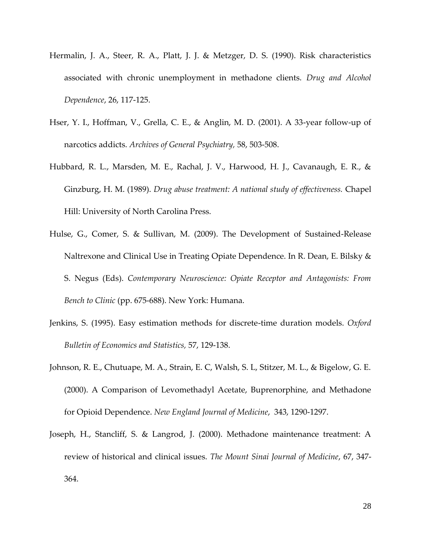- Hermalin, J. A., Steer, R. A., Platt, J. J. & Metzger, D. S. (1990). Risk characteristics associated with chronic unemployment in methadone clients. *Drug and Alcohol Dependence*, 26, 117-125.
- Hser, Y. I., Hoffman, V., Grella, C. E., & Anglin, M. D. (2001). A 33-year follow-up of narcotics addicts. *Archives of General Psychiatry,* 58, 503-508.
- Hubbard, R. L., Marsden, M. E., Rachal, J. V., Harwood, H. J., Cavanaugh, E. R., & Ginzburg, H. M. (1989). *Drug abuse treatment: A national study of effectiveness.* Chapel Hill: University of North Carolina Press.
- Hulse, G., Comer, S. & Sullivan, M. (2009). The Development of Sustained-Release Naltrexone and Clinical Use in Treating Opiate Dependence. In R. Dean, E. Bilsky & S. Negus (Eds). *Contemporary Neuroscience: Opiate Receptor and Antagonists: From Bench to Clinic* (pp. 675-688). New York: Humana.
- Jenkins, S. (1995). Easy estimation methods for discrete-time duration models. *Oxford Bulletin of Economics and Statistics,* 57, 129-138.
- Johnson, R. E., Chutuape, M. A., Strain, E. C, Walsh, S. L, Stitzer, M. L., & Bigelow, G. E. (2000). A Comparison of Levomethadyl Acetate, Buprenorphine, and Methadone for Opioid Dependence. *New England Journal of Medicine*, 343, 1290-1297.
- Joseph, H., Stancliff, S. & Langrod, J. (2000). Methadone maintenance treatment: A review of historical and clinical issues. *The Mount Sinai Journal of Medicine*, 67, 347- 364.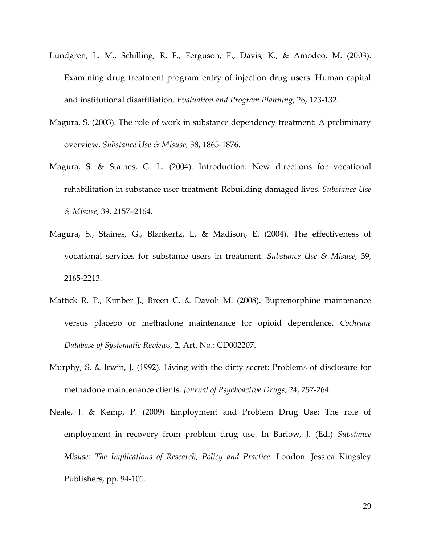- Lundgren, L. M., Schilling, R. F., Ferguson, F., Davis, K., & Amodeo, M. (2003). Examining drug treatment program entry of injection drug users: Human capital and institutional disaffiliation. *Evaluation and Program Planning*, 26, 123-132.
- Magura, S. (2003). The role of work in substance dependency treatment: A preliminary overview. *Substance Use & Misuse,* 38, 1865-1876.
- Magura, S. & Staines, G. L. (2004). Introduction: New directions for vocational rehabilitation in substance user treatment: Rebuilding damaged lives. *Substance Use & Misuse*, 39, 2157–2164.
- Magura, S., Staines, G., Blankertz, L. & Madison, E. (2004). The effectiveness of vocational services for substance users in treatment. *Substance Use & Misuse*, 39, 2165-2213.
- Mattick R. P., Kimber J., Breen C. & Davoli M. (2008). Buprenorphine maintenance versus placebo or methadone maintenance for opioid dependence. *Cochrane Database of Systematic Reviews,* 2, Art. No.: CD002207.
- Murphy, S. & Irwin, J. (1992). Living with the dirty secret: Problems of disclosure for methadone maintenance clients. *Journal of Psychoactive Drugs*, 24, 257-264.
- Neale, J. & Kemp, P. (2009) Employment and Problem Drug Use: The role of employment in recovery from problem drug use. In Barlow, J. (Ed.) *Substance Misuse: The Implications of Research, Policy and Practice*. London: Jessica Kingsley Publishers, pp. 94-101.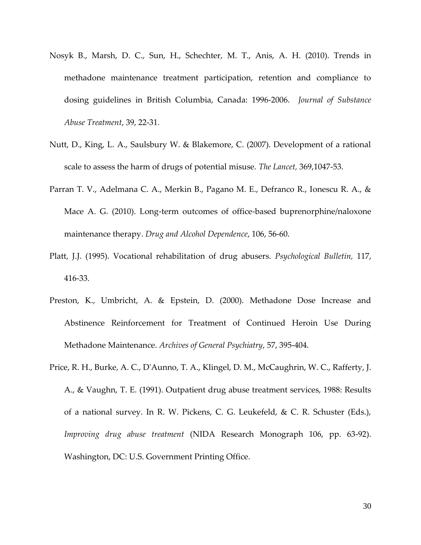- Nosyk B., Marsh, D. C., Sun, H., Schechter, M. T., Anis, A. H. (2010). Trends in methadone maintenance treatment participation, retention and compliance to dosing guidelines in British Columbia, Canada: 1996-2006. *Journal of Substance Abuse Treatment*, 39, 22-31.
- Nutt, D., King, L. A., Saulsbury W. & Blakemore, C. (2007). Development of a rational scale to assess the harm of drugs of potential misuse. *The Lancet,* 369,1047-53.
- Parran T. V., Adelmana C. A., Merkin B., Pagano M. E., Defranco R., Ionescu R. A., & Mace A. G. (2010). Long-term outcomes of office-based buprenorphine/naloxone maintenance therapy. *Drug and Alcohol Dependence*, 106, 56-60.
- Platt, J.J. (1995). Vocational rehabilitation of drug abusers. *Psychological Bulletin,* 117, 416-33.
- Preston, K., Umbricht, A. & Epstein, D. (2000). Methadone Dose Increase and Abstinence Reinforcement for Treatment of Continued Heroin Use During Methadone Maintenance. *Archives of General Psychiatry*, 57, 395-404.
- Price, R. H., Burke, A. C., D'Aunno, T. A., Klingel, D. M., McCaughrin, W. C., Rafferty, J. A., & Vaughn, T. E. (1991). Outpatient drug abuse treatment services, 1988: Results of a national survey. In R. W. Pickens, C. G. Leukefeld, & C. R. Schuster (Eds.), *Improving drug abuse treatment* (NIDA Research Monograph 106, pp. 63-92). Washington, DC: U.S. Government Printing Office.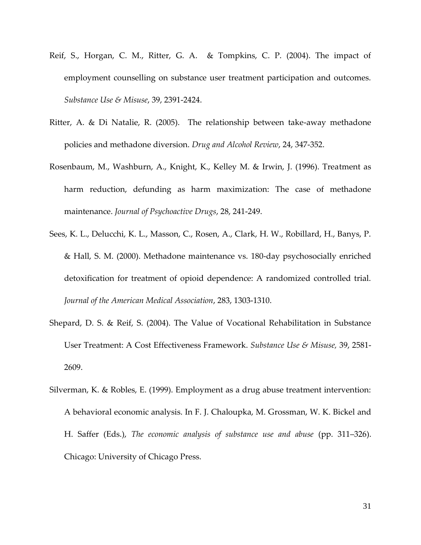- Reif, S., Horgan, C. M., Ritter, G. A. & Tompkins, C. P. (2004). The impact of employment counselling on substance user treatment participation and outcomes. *Substance Use & Misuse*, 39, 2391-2424.
- Ritter, A. & Di Natalie, R. (2005). The relationship between take-away methadone policies and methadone diversion. *Drug and Alcohol Review*, 24, 347-352.
- Rosenbaum, M., Washburn, A., Knight, K., Kelley M. & Irwin, J. (1996). Treatment as harm reduction, defunding as harm maximization: The case of methadone maintenance. *Journal of Psychoactive Drugs*, 28, 241-249.
- Sees, K. L., Delucchi, K. L., Masson, C., Rosen, A., Clark, H. W., Robillard, H., Banys, P. & Hall, S. M. (2000). Methadone maintenance vs. 180-day psychosocially enriched detoxification for treatment of opioid dependence: A randomized controlled trial. *Journal of the American Medical Association*, 283, 1303-1310.
- Shepard, D. S. & Reif, S. (2004). The Value of Vocational Rehabilitation in Substance User Treatment: A Cost Effectiveness Framework. *Substance Use & Misuse,* 39, 2581- 2609.
- Silverman, K. & Robles, E. (1999). Employment as a drug abuse treatment intervention: A behavioral economic analysis. In F. J. Chaloupka, M. Grossman, W. K. Bickel and H. Saffer (Eds.), *The economic analysis of substance use and abuse* (pp. 311–326). Chicago: University of Chicago Press.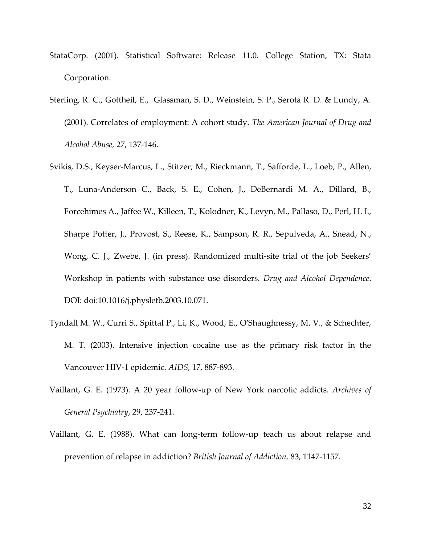- StataCorp. (2001). Statistical Software: Release 11.0. College Station, TX: Stata Corporation.
- Sterling, R. C., Gottheil, E., Glassman, S. D., Weinstein, S. P., Serota R. D. & Lundy, A. (2001). Correlates of employment: A cohort study. *The American Journal of Drug and Alcohol Abuse,* 27, 137-146.
- Svikis, D.S., Keyser-Marcus, L., Stitzer, M., Rieckmann, T., Safforde, L., Loeb, P., Allen, T., Luna-Anderson C., Back, S. E., Cohen, J., DeBernardi M. A., Dillard, B., Forcehimes A., Jaffee W., Killeen, T., Kolodner, K., Levyn, M., Pallaso, D., Perl, H. I., Sharpe Potter, J., Provost, S., Reese, K., Sampson, R. R., Sepulveda, A., Snead, N., Wong, C. J., Zwebe, J. (in press). Randomized multi-site trial of the job Seekers' Workshop in patients with substance use disorders. *Drug and Alcohol Dependence*. DOI: doi:10.1016/j.physletb.2003.10.071.
- Tyndall M. W., Curri S., Spittal P., Li, K., Wood, E., O'Shaughnessy, M. V., & Schechter, M. T. (2003). Intensive injection cocaine use as the primary risk factor in the Vancouver HIV-1 epidemic. *AIDS,* 17, 887-893.
- Vaillant, G. E. (1973). A 20 year follow-up of New York narcotic addicts. *Archives of General Psychiatry*, 29, 237-241.
- Vaillant, G. E. (1988). What can long-term follow-up teach us about relapse and prevention of relapse in addiction? *British Journal of Addiction,* 83, 1147-1157.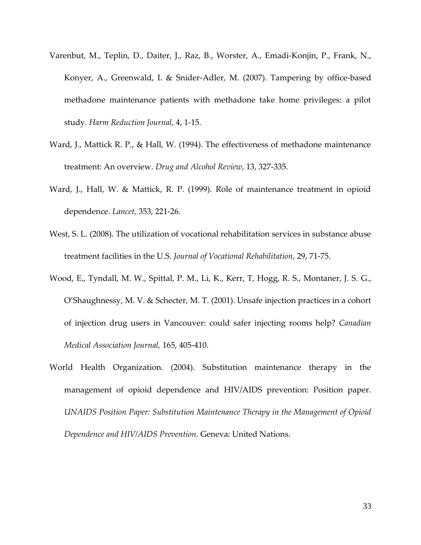- Varenbut, M., Teplin, D., Daiter, J., Raz, B., Worster, A., Emadi-Konjin, P., Frank, N., Konyer, A., Greenwald, I. & Snider-Adler, M. (2007). Tampering by office-based methadone maintenance patients with methadone take home privileges: a pilot study. *Harm Reduction Journal*, 4, 1-15.
- Ward, J., Mattick R. P., & Hall, W. (1994). The effectiveness of methadone maintenance treatment: An overview. *Drug and Alcohol Review*, 13, 327-335.
- Ward, J., Hall, W. & Mattick, R. P. (1999). Role of maintenance treatment in opioid dependence. *Lancet,* 353, 221-26.
- West, S. L. (2008). The utilization of vocational rehabilitation services in substance abuse treatment facilities in the U.S. *Journal of Vocational Rehabilitation*, 29, 71-75.
- Wood, E., Tyndall, M. W., Spittal, P. M., Li, K., Kerr, T, Hogg, R. S., Montaner, J. S. G., O'Shaughnessy, M. V. & Schecter, M. T. (2001). Unsafe injection practices in a cohort of injection drug users in Vancouver: could safer injecting rooms help? *Canadian Medical Association Journal,* 165, 405-410.
- World Health Organization. (2004). Substitution maintenance therapy in the management of opioid dependence and HIV/AIDS prevention: Position paper. *UNAIDS Position Paper: Substitution Maintenance Therapy in the Management of Opioid Dependence and HIV/AIDS Prevention*. Geneva: United Nations.